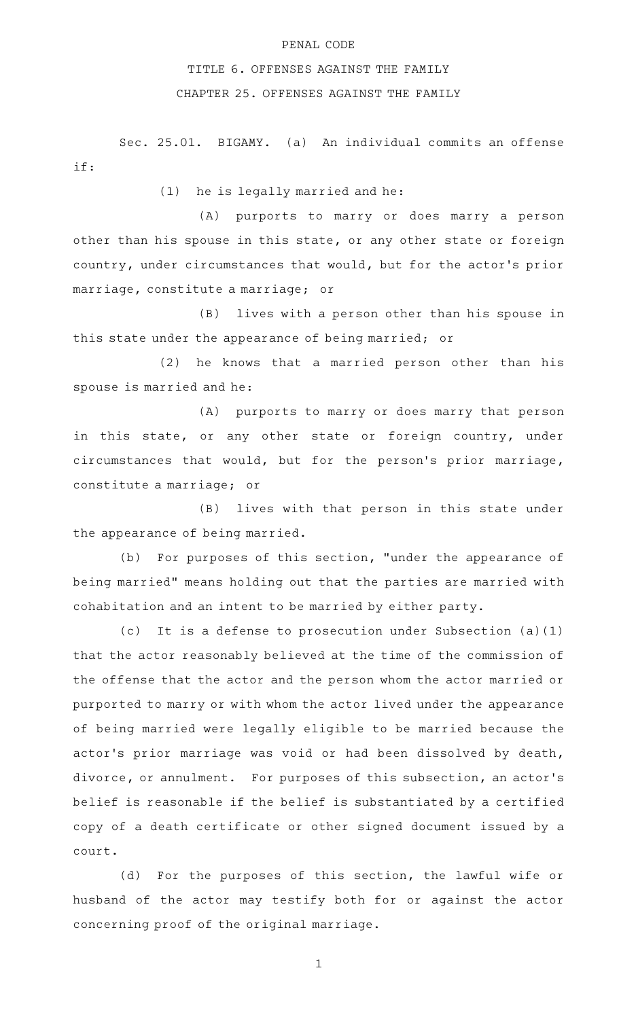## PENAL CODE

## TITLE 6. OFFENSES AGAINST THE FAMILY

## CHAPTER 25. OFFENSES AGAINST THE FAMILY

Sec. 25.01. BIGAMY. (a) An individual commits an offense if:

 $(1)$  he is legally married and he:

(A) purports to marry or does marry a person other than his spouse in this state, or any other state or foreign country, under circumstances that would, but for the actor 's prior marriage, constitute a marriage; or

(B) lives with a person other than his spouse in this state under the appearance of being married; or

(2) he knows that a married person other than his spouse is married and he:

(A) purports to marry or does marry that person in this state, or any other state or foreign country, under circumstances that would, but for the person's prior marriage, constitute a marriage; or

(B) lives with that person in this state under the appearance of being married.

(b) For purposes of this section, "under the appearance of being married" means holding out that the parties are married with cohabitation and an intent to be married by either party.

(c) It is a defense to prosecution under Subsection  $(a)(1)$ that the actor reasonably believed at the time of the commission of the offense that the actor and the person whom the actor married or purported to marry or with whom the actor lived under the appearance of being married were legally eligible to be married because the actor's prior marriage was void or had been dissolved by death, divorce, or annulment. For purposes of this subsection, an actor's belief is reasonable if the belief is substantiated by a certified copy of a death certificate or other signed document issued by a court.

(d) For the purposes of this section, the lawful wife or husband of the actor may testify both for or against the actor concerning proof of the original marriage.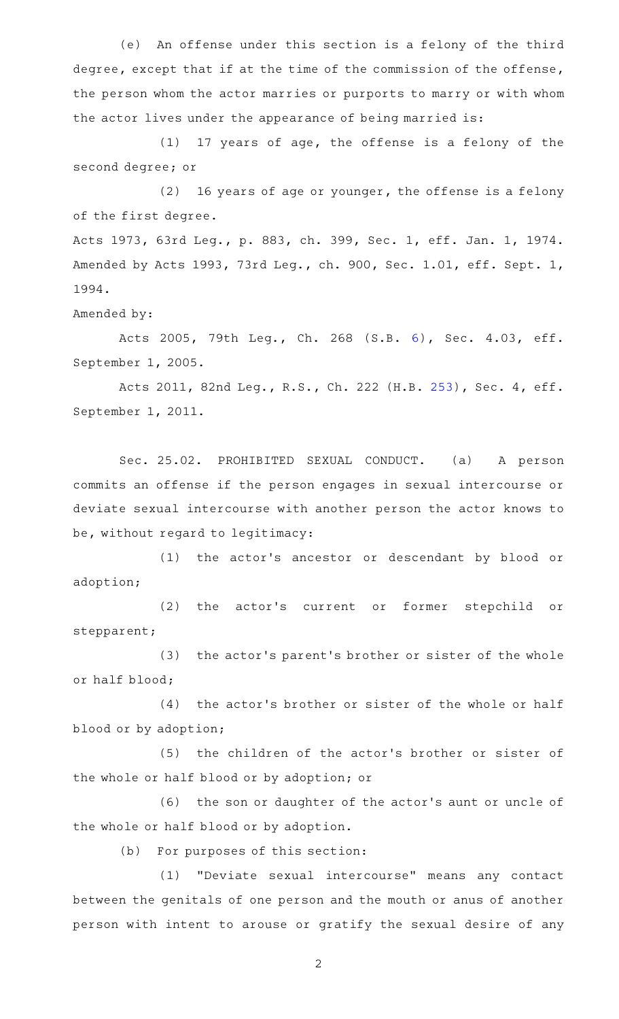(e) An offense under this section is a felony of the third degree, except that if at the time of the commission of the offense, the person whom the actor marries or purports to marry or with whom the actor lives under the appearance of being married is:

 $(1)$  17 years of age, the offense is a felony of the second degree; or

 $(2)$  16 years of age or younger, the offense is a felony of the first degree.

Acts 1973, 63rd Leg., p. 883, ch. 399, Sec. 1, eff. Jan. 1, 1974. Amended by Acts 1993, 73rd Leg., ch. 900, Sec. 1.01, eff. Sept. 1, 1994.

Amended by:

Acts 2005, 79th Leg., Ch. 268 (S.B. [6\)](http://www.legis.state.tx.us/tlodocs/79R/billtext/html/SB00006F.HTM), Sec. 4.03, eff. September 1, 2005.

Acts 2011, 82nd Leg., R.S., Ch. 222 (H.B. [253](http://www.legis.state.tx.us/tlodocs/82R/billtext/html/HB00253F.HTM)), Sec. 4, eff. September 1, 2011.

Sec. 25.02. PROHIBITED SEXUAL CONDUCT. (a) A person commits an offense if the person engages in sexual intercourse or deviate sexual intercourse with another person the actor knows to be, without regard to legitimacy:

(1) the actor's ancestor or descendant by blood or adoption;

(2) the actor's current or former stepchild or stepparent;

(3) the actor's parent's brother or sister of the whole or half blood;

(4) the actor's brother or sister of the whole or half blood or by adoption;

(5) the children of the actor's brother or sister of the whole or half blood or by adoption; or

(6) the son or daughter of the actor's aunt or uncle of the whole or half blood or by adoption.

(b) For purposes of this section:

(1) "Deviate sexual intercourse" means any contact between the genitals of one person and the mouth or anus of another person with intent to arouse or gratify the sexual desire of any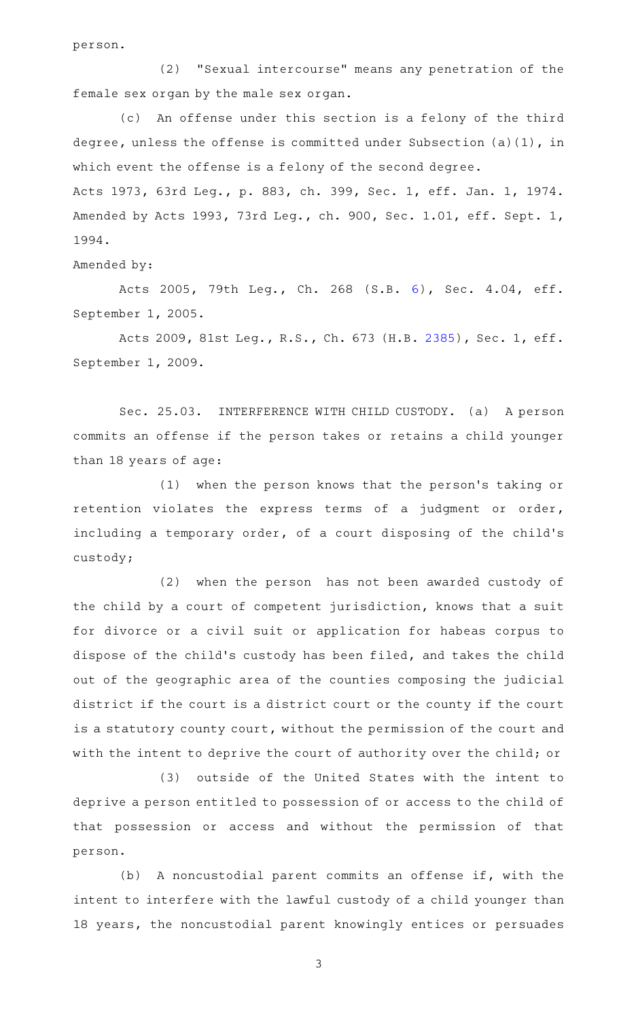person.

(2) "Sexual intercourse" means any penetration of the female sex organ by the male sex organ.

(c) An offense under this section is a felony of the third degree, unless the offense is committed under Subsection (a)(1), in which event the offense is a felony of the second degree. Acts 1973, 63rd Leg., p. 883, ch. 399, Sec. 1, eff. Jan. 1, 1974. Amended by Acts 1993, 73rd Leg., ch. 900, Sec. 1.01, eff. Sept. 1, 1994.

Amended by:

Acts 2005, 79th Leg., Ch. 268 (S.B. [6\)](http://www.legis.state.tx.us/tlodocs/79R/billtext/html/SB00006F.HTM), Sec. 4.04, eff. September 1, 2005.

Acts 2009, 81st Leg., R.S., Ch. 673 (H.B. [2385](http://www.legis.state.tx.us/tlodocs/81R/billtext/html/HB02385F.HTM)), Sec. 1, eff. September 1, 2009.

Sec. 25.03. INTERFERENCE WITH CHILD CUSTODY. (a) A person commits an offense if the person takes or retains a child younger than 18 years of age:

(1) when the person knows that the person's taking or retention violates the express terms of a judgment or order, including a temporary order, of a court disposing of the child's custody;

(2) when the person has not been awarded custody of the child by a court of competent jurisdiction, knows that a suit for divorce or a civil suit or application for habeas corpus to dispose of the child's custody has been filed, and takes the child out of the geographic area of the counties composing the judicial district if the court is a district court or the county if the court is a statutory county court, without the permission of the court and with the intent to deprive the court of authority over the child; or

(3) outside of the United States with the intent to deprive a person entitled to possession of or access to the child of that possession or access and without the permission of that person.

(b) A noncustodial parent commits an offense if, with the intent to interfere with the lawful custody of a child younger than 18 years, the noncustodial parent knowingly entices or persuades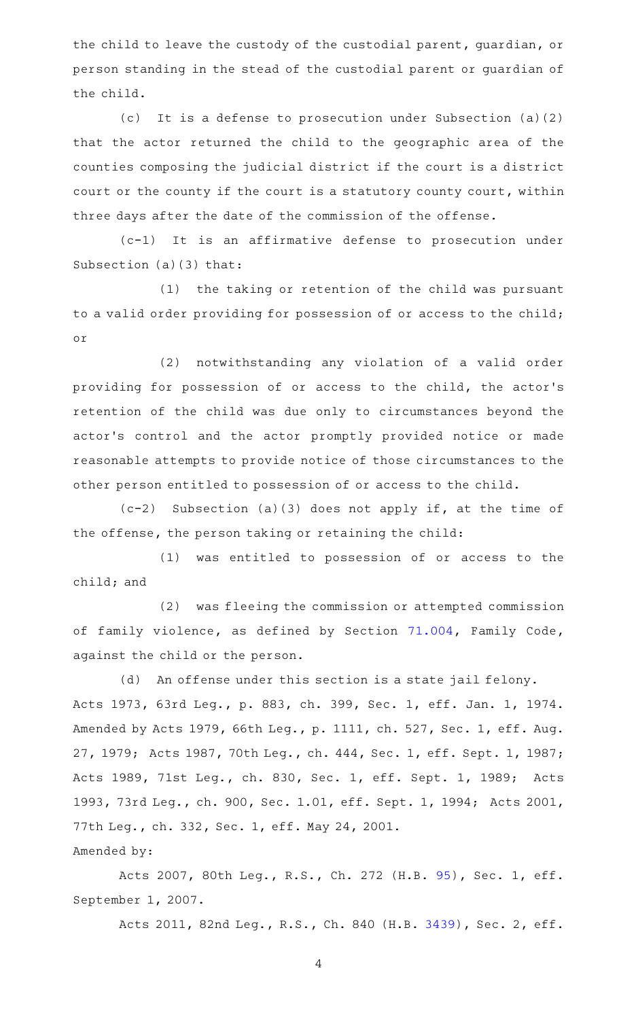the child to leave the custody of the custodial parent, guardian, or person standing in the stead of the custodial parent or guardian of the child.

(c) It is a defense to prosecution under Subsection (a)(2) that the actor returned the child to the geographic area of the counties composing the judicial district if the court is a district court or the county if the court is a statutory county court, within three days after the date of the commission of the offense.

 $(c-1)$  It is an affirmative defense to prosecution under Subsection (a)(3) that:

(1) the taking or retention of the child was pursuant to a valid order providing for possession of or access to the child; or

(2) notwithstanding any violation of a valid order providing for possession of or access to the child, the actor 's retention of the child was due only to circumstances beyond the actor 's control and the actor promptly provided notice or made reasonable attempts to provide notice of those circumstances to the other person entitled to possession of or access to the child.

 $(c-2)$  Subsection (a)(3) does not apply if, at the time of the offense, the person taking or retaining the child:

(1) was entitled to possession of or access to the child; and

(2) was fleeing the commission or attempted commission of family violence, as defined by Section [71.004](http://www.statutes.legis.state.tx.us/GetStatute.aspx?Code=FA&Value=71.004), Family Code, against the child or the person.

(d) An offense under this section is a state jail felony. Acts 1973, 63rd Leg., p. 883, ch. 399, Sec. 1, eff. Jan. 1, 1974. Amended by Acts 1979, 66th Leg., p. 1111, ch. 527, Sec. 1, eff. Aug. 27, 1979; Acts 1987, 70th Leg., ch. 444, Sec. 1, eff. Sept. 1, 1987; Acts 1989, 71st Leg., ch. 830, Sec. 1, eff. Sept. 1, 1989; Acts 1993, 73rd Leg., ch. 900, Sec. 1.01, eff. Sept. 1, 1994; Acts 2001, 77th Leg., ch. 332, Sec. 1, eff. May 24, 2001. Amended by:

Acts 2007, 80th Leg., R.S., Ch. 272 (H.B. [95](http://www.legis.state.tx.us/tlodocs/80R/billtext/html/HB00095F.HTM)), Sec. 1, eff. September 1, 2007.

Acts 2011, 82nd Leg., R.S., Ch. 840 (H.B. [3439](http://www.legis.state.tx.us/tlodocs/82R/billtext/html/HB03439F.HTM)), Sec. 2, eff.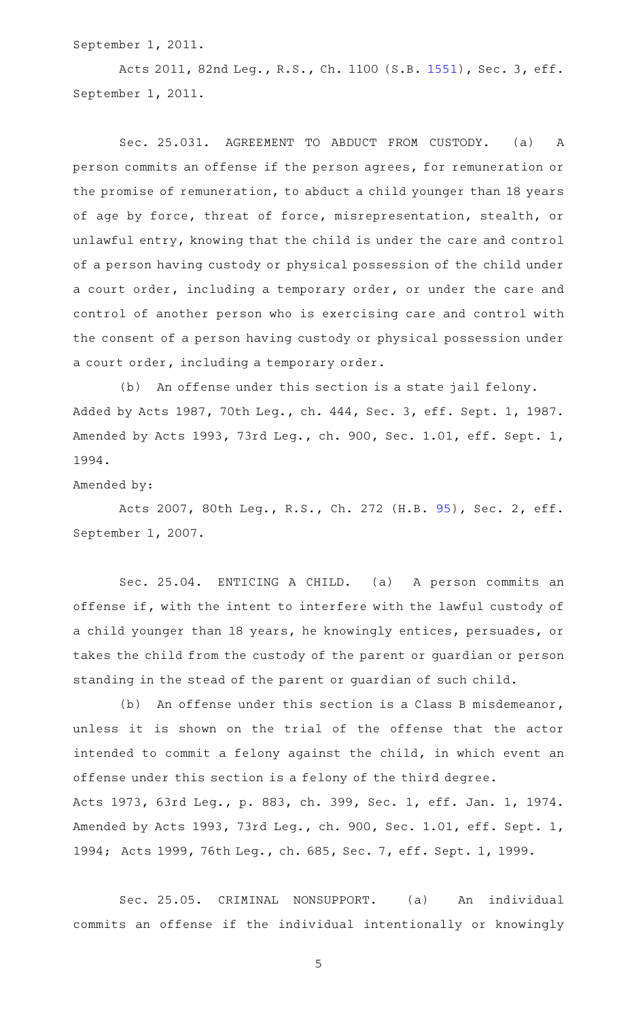September 1, 2011.

Acts 2011, 82nd Leg., R.S., Ch. 1100 (S.B. [1551](http://www.legis.state.tx.us/tlodocs/82R/billtext/html/SB01551F.HTM)), Sec. 3, eff. September 1, 2011.

Sec. 25.031. AGREEMENT TO ABDUCT FROM CUSTODY. (a) A person commits an offense if the person agrees, for remuneration or the promise of remuneration, to abduct a child younger than 18 years of age by force, threat of force, misrepresentation, stealth, or unlawful entry, knowing that the child is under the care and control of a person having custody or physical possession of the child under a court order, including a temporary order, or under the care and control of another person who is exercising care and control with the consent of a person having custody or physical possession under a court order, including a temporary order.

(b) An offense under this section is a state jail felony. Added by Acts 1987, 70th Leg., ch. 444, Sec. 3, eff. Sept. 1, 1987. Amended by Acts 1993, 73rd Leg., ch. 900, Sec. 1.01, eff. Sept. 1, 1994.

Amended by:

Acts 2007, 80th Leg., R.S., Ch. 272 (H.B. [95](http://www.legis.state.tx.us/tlodocs/80R/billtext/html/HB00095F.HTM)), Sec. 2, eff. September 1, 2007.

Sec. 25.04. ENTICING A CHILD. (a) A person commits an offense if, with the intent to interfere with the lawful custody of a child younger than 18 years, he knowingly entices, persuades, or takes the child from the custody of the parent or guardian or person standing in the stead of the parent or guardian of such child.

(b) An offense under this section is a Class B misdemeanor, unless it is shown on the trial of the offense that the actor intended to commit a felony against the child, in which event an offense under this section is a felony of the third degree. Acts 1973, 63rd Leg., p. 883, ch. 399, Sec. 1, eff. Jan. 1, 1974. Amended by Acts 1993, 73rd Leg., ch. 900, Sec. 1.01, eff. Sept. 1, 1994; Acts 1999, 76th Leg., ch. 685, Sec. 7, eff. Sept. 1, 1999.

Sec. 25.05. CRIMINAL NONSUPPORT. (a) An individual commits an offense if the individual intentionally or knowingly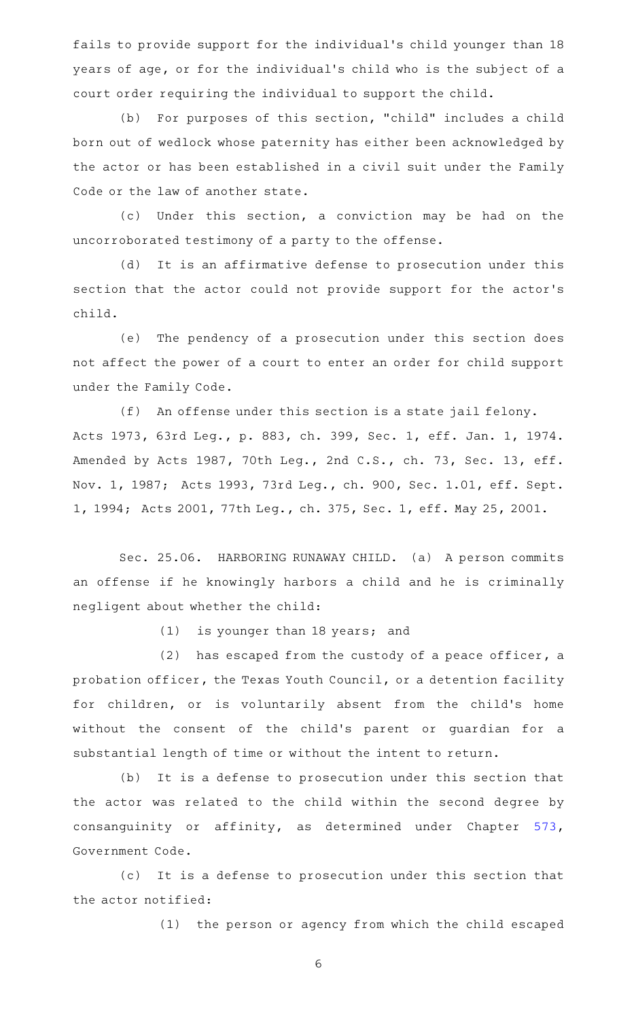fails to provide support for the individual 's child younger than 18 years of age, or for the individual 's child who is the subject of a court order requiring the individual to support the child.

(b) For purposes of this section, "child" includes a child born out of wedlock whose paternity has either been acknowledged by the actor or has been established in a civil suit under the Family Code or the law of another state.

(c) Under this section, a conviction may be had on the uncorroborated testimony of a party to the offense.

(d) It is an affirmative defense to prosecution under this section that the actor could not provide support for the actor 's child.

(e) The pendency of a prosecution under this section does not affect the power of a court to enter an order for child support under the Family Code.

(f) An offense under this section is a state jail felony. Acts 1973, 63rd Leg., p. 883, ch. 399, Sec. 1, eff. Jan. 1, 1974. Amended by Acts 1987, 70th Leg., 2nd C.S., ch. 73, Sec. 13, eff. Nov. 1, 1987; Acts 1993, 73rd Leg., ch. 900, Sec. 1.01, eff. Sept. 1, 1994; Acts 2001, 77th Leg., ch. 375, Sec. 1, eff. May 25, 2001.

Sec. 25.06. HARBORING RUNAWAY CHILD. (a) A person commits an offense if he knowingly harbors a child and he is criminally negligent about whether the child:

 $(1)$  is younger than 18 years; and

 $(2)$  has escaped from the custody of a peace officer, a probation officer, the Texas Youth Council, or a detention facility for children, or is voluntarily absent from the child's home without the consent of the child's parent or guardian for a substantial length of time or without the intent to return.

(b) It is a defense to prosecution under this section that the actor was related to the child within the second degree by consanguinity or affinity, as determined under Chapter [573](http://www.statutes.legis.state.tx.us/GetStatute.aspx?Code=GV&Value=573), Government Code.

(c) It is a defense to prosecution under this section that the actor notified:

(1) the person or agency from which the child escaped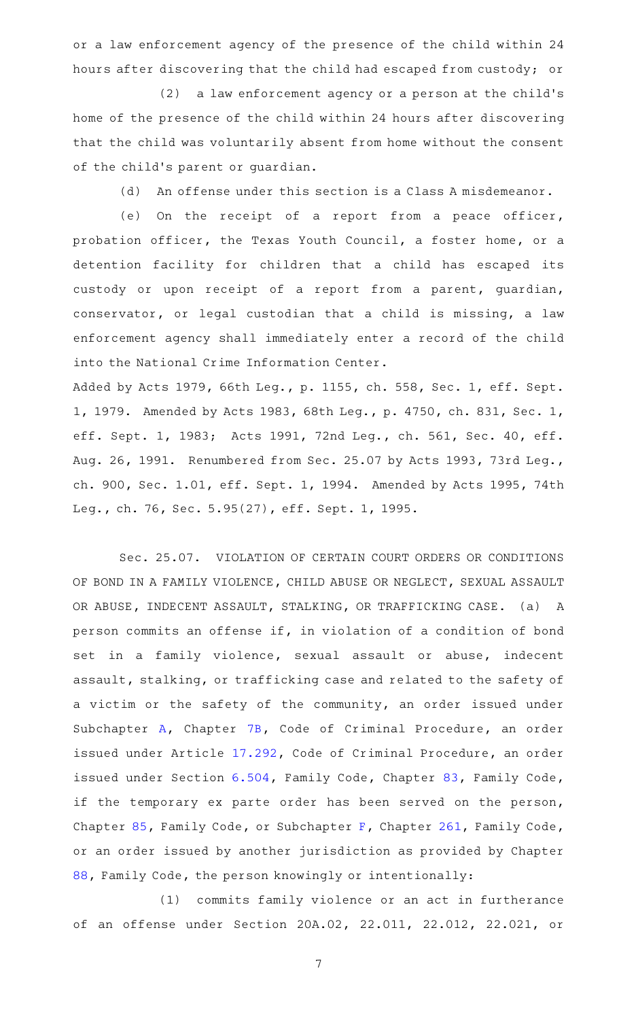or a law enforcement agency of the presence of the child within 24 hours after discovering that the child had escaped from custody; or

(2) a law enforcement agency or a person at the child's home of the presence of the child within 24 hours after discovering that the child was voluntarily absent from home without the consent of the child's parent or guardian.

(d) An offense under this section is a Class A misdemeanor.

(e) On the receipt of a report from a peace officer, probation officer, the Texas Youth Council, a foster home, or a detention facility for children that a child has escaped its custody or upon receipt of a report from a parent, guardian, conservator, or legal custodian that a child is missing, a law enforcement agency shall immediately enter a record of the child into the National Crime Information Center.

Added by Acts 1979, 66th Leg., p. 1155, ch. 558, Sec. 1, eff. Sept. 1, 1979. Amended by Acts 1983, 68th Leg., p. 4750, ch. 831, Sec. 1, eff. Sept. 1, 1983; Acts 1991, 72nd Leg., ch. 561, Sec. 40, eff. Aug. 26, 1991. Renumbered from Sec. 25.07 by Acts 1993, 73rd Leg., ch. 900, Sec. 1.01, eff. Sept. 1, 1994. Amended by Acts 1995, 74th Leg., ch. 76, Sec. 5.95(27), eff. Sept. 1, 1995.

Sec. 25.07. VIOLATION OF CERTAIN COURT ORDERS OR CONDITIONS OF BOND IN A FAMILY VIOLENCE, CHILD ABUSE OR NEGLECT, SEXUAL ASSAULT OR ABUSE, INDECENT ASSAULT, STALKING, OR TRAFFICKING CASE. (a) A person commits an offense if, in violation of a condition of bond set in a family violence, sexual assault or abuse, indecent assault, stalking, or trafficking case and related to the safety of a victim or the safety of the community, an order issued under Subchapter [A,](http://www.statutes.legis.state.tx.us/GetStatute.aspx?Code=CR&Value=7B.001) Chapter [7B](http://www.statutes.legis.state.tx.us/GetStatute.aspx?Code=CR&Value=7B), Code of Criminal Procedure, an order issued under Article [17.292](http://www.statutes.legis.state.tx.us/GetStatute.aspx?Code=CR&Value=17.292), Code of Criminal Procedure, an order issued under Section [6.504,](http://www.statutes.legis.state.tx.us/GetStatute.aspx?Code=FA&Value=6.504) Family Code, Chapter [83](http://www.statutes.legis.state.tx.us/GetStatute.aspx?Code=FA&Value=83), Family Code, if the temporary ex parte order has been served on the person, Chapter [85,](http://www.statutes.legis.state.tx.us/GetStatute.aspx?Code=FA&Value=85) Family Code, or Subchapter [F](http://www.statutes.legis.state.tx.us/GetStatute.aspx?Code=FA&Value=261.501), Chapter [261](http://www.statutes.legis.state.tx.us/GetStatute.aspx?Code=FA&Value=261), Family Code, or an order issued by another jurisdiction as provided by Chapter [88](http://www.statutes.legis.state.tx.us/GetStatute.aspx?Code=FA&Value=88), Family Code, the person knowingly or intentionally:

(1) commits family violence or an act in furtherance of an offense under Section 20A.02, 22.011, 22.012, 22.021, or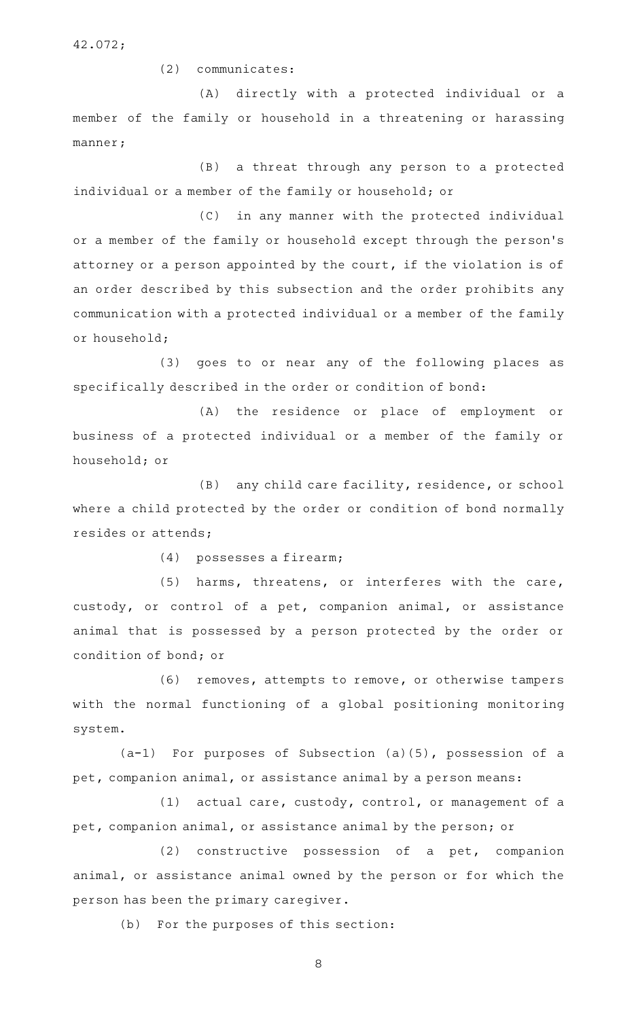42.072;

 $(2)$  communicates:

(A) directly with a protected individual or a member of the family or household in a threatening or harassing manner;

(B) a threat through any person to a protected individual or a member of the family or household; or

(C) in any manner with the protected individual or a member of the family or household except through the person 's attorney or a person appointed by the court, if the violation is of an order described by this subsection and the order prohibits any communication with a protected individual or a member of the family or household;

(3) goes to or near any of the following places as specifically described in the order or condition of bond:

(A) the residence or place of employment or business of a protected individual or a member of the family or household; or

(B) any child care facility, residence, or school where a child protected by the order or condition of bond normally resides or attends;

 $(4)$  possesses a firearm;

(5) harms, threatens, or interferes with the care, custody, or control of a pet, companion animal, or assistance animal that is possessed by a person protected by the order or condition of bond; or

(6) removes, attempts to remove, or otherwise tampers with the normal functioning of a global positioning monitoring system.

 $(a-1)$  For purposes of Subsection (a)(5), possession of a pet, companion animal, or assistance animal by a person means:

(1) actual care, custody, control, or management of a pet, companion animal, or assistance animal by the person; or

 $(2)$  constructive possession of a pet, companion animal, or assistance animal owned by the person or for which the person has been the primary caregiver.

(b) For the purposes of this section: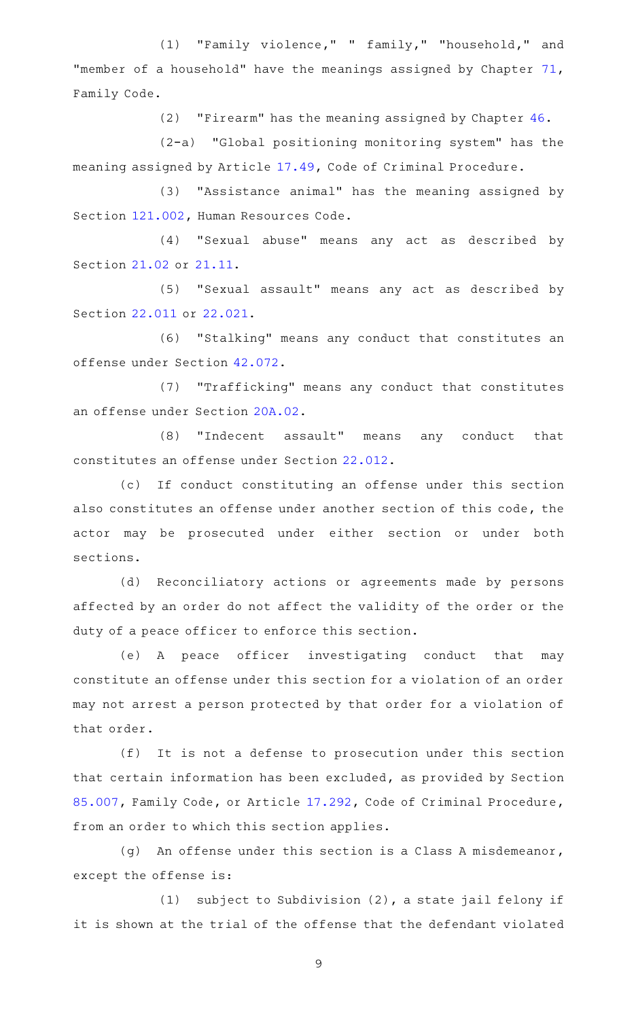(1) "Family violence," " family," "household," and "member of a household" have the meanings assigned by Chapter [71](http://www.statutes.legis.state.tx.us/GetStatute.aspx?Code=FA&Value=71), Family Code.

(2) "Firearm" has the meaning assigned by Chapter  $46$ .

 $(2-a)$  "Global positioning monitoring system" has the meaning assigned by Article [17.49,](http://www.statutes.legis.state.tx.us/GetStatute.aspx?Code=CR&Value=17.49) Code of Criminal Procedure.

(3) "Assistance animal" has the meaning assigned by Section [121.002,](http://www.statutes.legis.state.tx.us/GetStatute.aspx?Code=HR&Value=121.002) Human Resources Code.

(4) "Sexual abuse" means any act as described by Section [21.02](http://www.statutes.legis.state.tx.us/GetStatute.aspx?Code=PE&Value=21.02) or [21.11.](http://www.statutes.legis.state.tx.us/GetStatute.aspx?Code=PE&Value=21.11)

(5) "Sexual assault" means any act as described by Section [22.011](http://www.statutes.legis.state.tx.us/GetStatute.aspx?Code=PE&Value=22.011) or [22.021.](http://www.statutes.legis.state.tx.us/GetStatute.aspx?Code=PE&Value=22.021)

(6) "Stalking" means any conduct that constitutes an offense under Section [42.072.](http://www.statutes.legis.state.tx.us/GetStatute.aspx?Code=PE&Value=42.072)

(7) "Trafficking" means any conduct that constitutes an offense under Section [20A.02.](http://www.statutes.legis.state.tx.us/GetStatute.aspx?Code=PE&Value=20A.02)

(8) "Indecent assault" means any conduct that constitutes an offense under Section [22.012.](http://www.statutes.legis.state.tx.us/GetStatute.aspx?Code=PE&Value=22.012)

(c) If conduct constituting an offense under this section also constitutes an offense under another section of this code, the actor may be prosecuted under either section or under both sections.

(d) Reconciliatory actions or agreements made by persons affected by an order do not affect the validity of the order or the duty of a peace officer to enforce this section.

(e)AAA peace officer investigating conduct that may constitute an offense under this section for a violation of an order may not arrest a person protected by that order for a violation of that order.

(f) It is not a defense to prosecution under this section that certain information has been excluded, as provided by Section [85.007](http://www.statutes.legis.state.tx.us/GetStatute.aspx?Code=FA&Value=85.007), Family Code, or Article [17.292,](http://www.statutes.legis.state.tx.us/GetStatute.aspx?Code=CR&Value=17.292) Code of Criminal Procedure, from an order to which this section applies.

 $(g)$  An offense under this section is a Class A misdemeanor, except the offense is:

(1) subject to Subdivision  $(2)$ , a state jail felony if it is shown at the trial of the offense that the defendant violated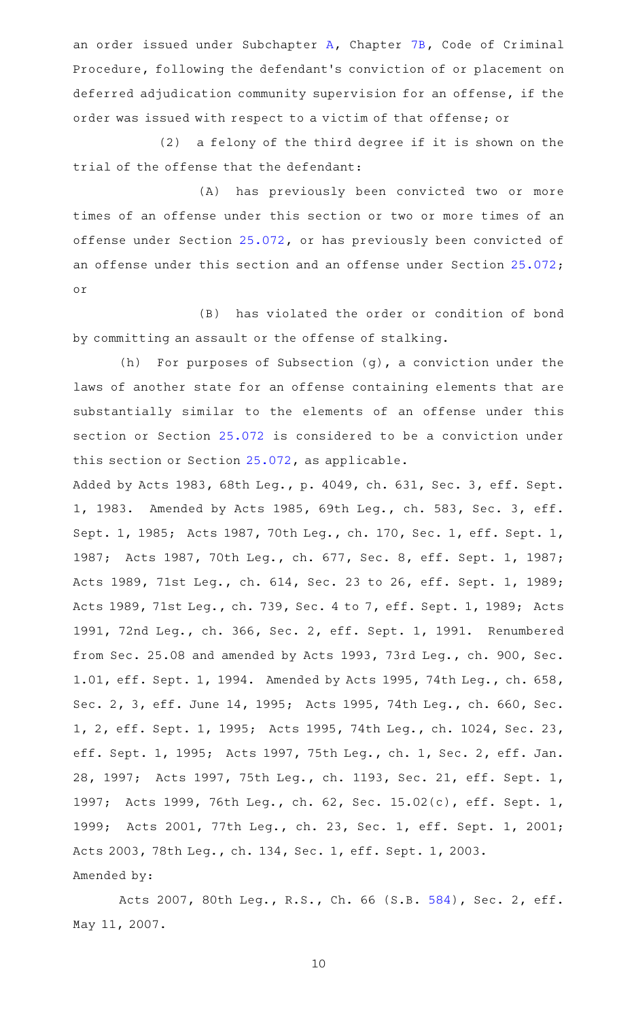an order issued under Subchapter [A](http://www.statutes.legis.state.tx.us/GetStatute.aspx?Code=CR&Value=7B.001), Chapter [7B](http://www.statutes.legis.state.tx.us/GetStatute.aspx?Code=CR&Value=7B), Code of Criminal Procedure, following the defendant 's conviction of or placement on deferred adjudication community supervision for an offense, if the order was issued with respect to a victim of that offense; or

 $(2)$  a felony of the third degree if it is shown on the trial of the offense that the defendant:

(A) has previously been convicted two or more times of an offense under this section or two or more times of an offense under Section [25.072,](http://www.statutes.legis.state.tx.us/GetStatute.aspx?Code=PE&Value=25.072) or has previously been convicted of an offense under this section and an offense under Section [25.072](http://www.statutes.legis.state.tx.us/GetStatute.aspx?Code=PE&Value=25.072); or

(B) has violated the order or condition of bond by committing an assault or the offense of stalking.

(h) For purposes of Subsection (g), a conviction under the laws of another state for an offense containing elements that are substantially similar to the elements of an offense under this section or Section [25.072](http://www.statutes.legis.state.tx.us/GetStatute.aspx?Code=PE&Value=25.072) is considered to be a conviction under this section or Section [25.072](http://www.statutes.legis.state.tx.us/GetStatute.aspx?Code=PE&Value=25.072), as applicable.

Added by Acts 1983, 68th Leg., p. 4049, ch. 631, Sec. 3, eff. Sept. 1, 1983. Amended by Acts 1985, 69th Leg., ch. 583, Sec. 3, eff. Sept. 1, 1985; Acts 1987, 70th Leg., ch. 170, Sec. 1, eff. Sept. 1, 1987; Acts 1987, 70th Leg., ch. 677, Sec. 8, eff. Sept. 1, 1987; Acts 1989, 71st Leg., ch. 614, Sec. 23 to 26, eff. Sept. 1, 1989; Acts 1989, 71st Leg., ch. 739, Sec. 4 to 7, eff. Sept. 1, 1989; Acts 1991, 72nd Leg., ch. 366, Sec. 2, eff. Sept. 1, 1991. Renumbered from Sec. 25.08 and amended by Acts 1993, 73rd Leg., ch. 900, Sec. 1.01, eff. Sept. 1, 1994. Amended by Acts 1995, 74th Leg., ch. 658, Sec. 2, 3, eff. June 14, 1995; Acts 1995, 74th Leg., ch. 660, Sec. 1, 2, eff. Sept. 1, 1995; Acts 1995, 74th Leg., ch. 1024, Sec. 23, eff. Sept. 1, 1995; Acts 1997, 75th Leg., ch. 1, Sec. 2, eff. Jan. 28, 1997; Acts 1997, 75th Leg., ch. 1193, Sec. 21, eff. Sept. 1, 1997; Acts 1999, 76th Leg., ch. 62, Sec. 15.02(c), eff. Sept. 1, 1999; Acts 2001, 77th Leg., ch. 23, Sec. 1, eff. Sept. 1, 2001; Acts 2003, 78th Leg., ch. 134, Sec. 1, eff. Sept. 1, 2003. Amended by:

Acts 2007, 80th Leg., R.S., Ch. 66 (S.B. [584](http://www.legis.state.tx.us/tlodocs/80R/billtext/html/SB00584F.HTM)), Sec. 2, eff. May 11, 2007.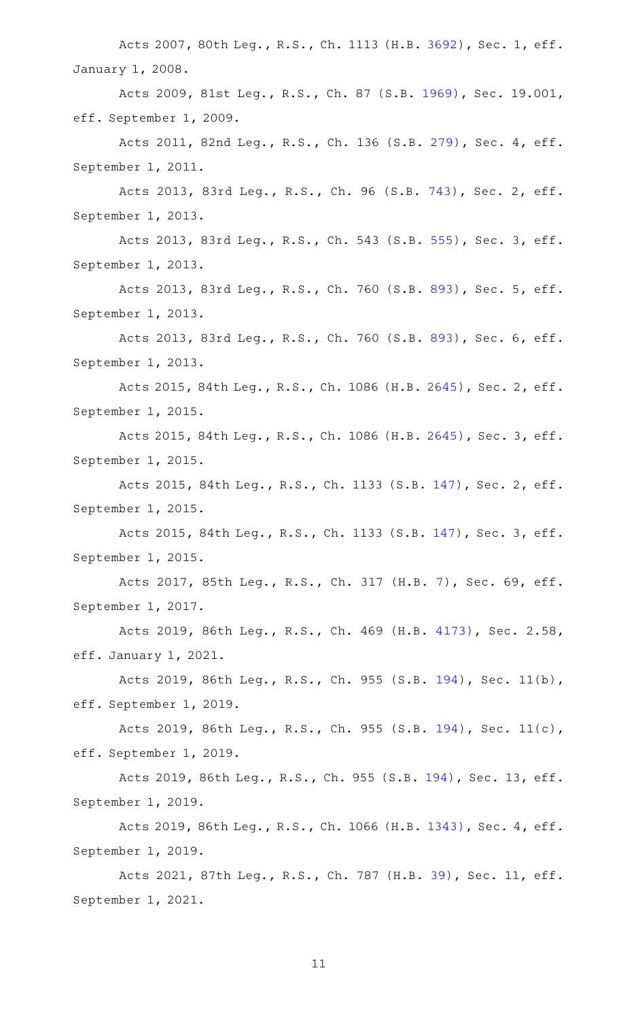Acts 2007, 80th Leg., R.S., Ch. 1113 (H.B. [3692](http://www.legis.state.tx.us/tlodocs/80R/billtext/html/HB03692F.HTM)), Sec. 1, eff. January 1, 2008.

Acts 2009, 81st Leg., R.S., Ch. 87 (S.B. [1969](http://www.legis.state.tx.us/tlodocs/81R/billtext/html/SB01969F.HTM)), Sec. 19.001, eff. September 1, 2009.

Acts 2011, 82nd Leg., R.S., Ch. 136 (S.B. [279](http://www.legis.state.tx.us/tlodocs/82R/billtext/html/SB00279F.HTM)), Sec. 4, eff. September 1, 2011.

Acts 2013, 83rd Leg., R.S., Ch. 96 (S.B. [743](http://www.legis.state.tx.us/tlodocs/83R/billtext/html/SB00743F.HTM)), Sec. 2, eff. September 1, 2013.

Acts 2013, 83rd Leg., R.S., Ch. 543 (S.B. [555](http://www.legis.state.tx.us/tlodocs/83R/billtext/html/SB00555F.HTM)), Sec. 3, eff. September 1, 2013.

Acts 2013, 83rd Leg., R.S., Ch. 760 (S.B. [893](http://www.legis.state.tx.us/tlodocs/83R/billtext/html/SB00893F.HTM)), Sec. 5, eff. September 1, 2013.

Acts 2013, 83rd Leg., R.S., Ch. 760 (S.B. [893](http://www.legis.state.tx.us/tlodocs/83R/billtext/html/SB00893F.HTM)), Sec. 6, eff. September 1, 2013.

Acts 2015, 84th Leg., R.S., Ch. 1086 (H.B. [2645](http://www.legis.state.tx.us/tlodocs/84R/billtext/html/HB02645F.HTM)), Sec. 2, eff. September 1, 2015.

Acts 2015, 84th Leg., R.S., Ch. 1086 (H.B. [2645](http://www.legis.state.tx.us/tlodocs/84R/billtext/html/HB02645F.HTM)), Sec. 3, eff. September 1, 2015.

Acts 2015, 84th Leg., R.S., Ch. 1133 (S.B. [147](http://www.legis.state.tx.us/tlodocs/84R/billtext/html/SB00147F.HTM)), Sec. 2, eff. September 1, 2015.

Acts 2015, 84th Leg., R.S., Ch. 1133 (S.B. [147](http://www.legis.state.tx.us/tlodocs/84R/billtext/html/SB00147F.HTM)), Sec. 3, eff. September 1, 2015.

Acts 2017, 85th Leg., R.S., Ch. 317 (H.B. [7\)](http://www.legis.state.tx.us/tlodocs/85R/billtext/html/HB00007F.HTM), Sec. 69, eff. September 1, 2017.

Acts 2019, 86th Leg., R.S., Ch. 469 (H.B. [4173\)](http://www.legis.state.tx.us/tlodocs/86R/billtext/html/HB04173F.HTM), Sec. 2.58, eff. January 1, 2021.

Acts 2019, 86th Leg., R.S., Ch. 955 (S.B. [194](http://www.legis.state.tx.us/tlodocs/86R/billtext/html/SB00194F.HTM)), Sec. 11(b), eff. September 1, 2019.

Acts 2019, 86th Leg., R.S., Ch. 955 (S.B. [194](http://www.legis.state.tx.us/tlodocs/86R/billtext/html/SB00194F.HTM)), Sec. 11(c), eff. September 1, 2019.

Acts 2019, 86th Leg., R.S., Ch. 955 (S.B. [194\)](http://www.legis.state.tx.us/tlodocs/86R/billtext/html/SB00194F.HTM), Sec. 13, eff. September 1, 2019.

Acts 2019, 86th Leg., R.S., Ch. 1066 (H.B. [1343](http://www.legis.state.tx.us/tlodocs/86R/billtext/html/HB01343F.HTM)), Sec. 4, eff. September 1, 2019.

Acts 2021, 87th Leg., R.S., Ch. 787 (H.B. [39\)](http://www.legis.state.tx.us/tlodocs/87R/billtext/html/HB00039F.HTM), Sec. 11, eff. September 1, 2021.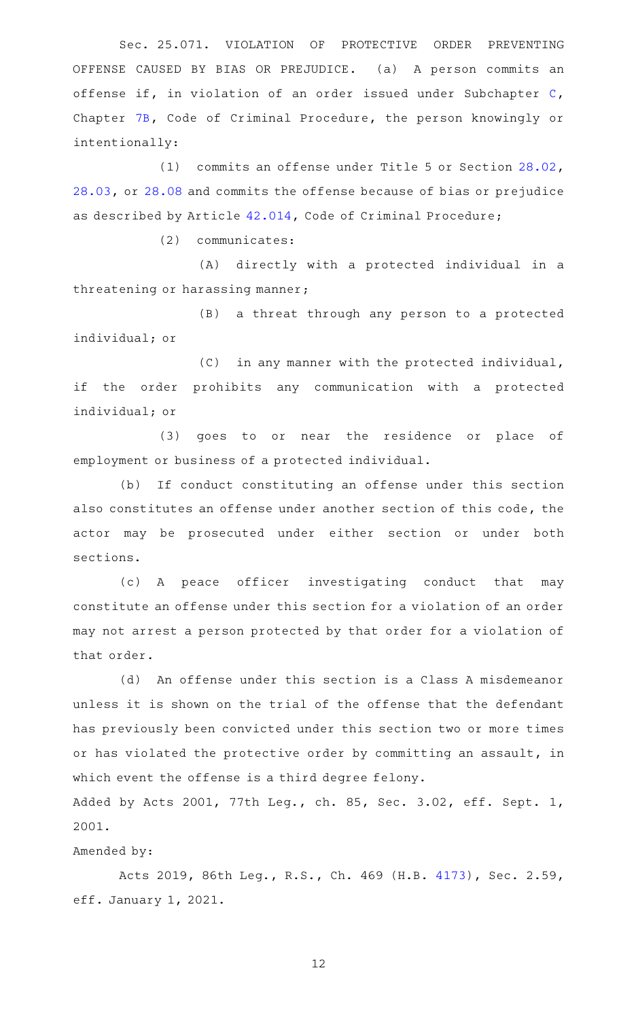Sec. 25.071. VIOLATION OF PROTECTIVE ORDER PREVENTING OFFENSE CAUSED BY BIAS OR PREJUDICE. (a) A person commits an offense if, in violation of an order issued under Subchapter [C](http://www.statutes.legis.state.tx.us/GetStatute.aspx?Code=CR&Value=7B.101), Chapter [7B,](http://www.statutes.legis.state.tx.us/GetStatute.aspx?Code=CR&Value=7B) Code of Criminal Procedure, the person knowingly or intentionally:

(1) commits an offense under Title 5 or Section  $28.02$ , [28.03,](http://www.statutes.legis.state.tx.us/GetStatute.aspx?Code=PE&Value=28.03) or [28.08](http://www.statutes.legis.state.tx.us/GetStatute.aspx?Code=PE&Value=28.08) and commits the offense because of bias or prejudice as described by Article [42.014](http://www.statutes.legis.state.tx.us/GetStatute.aspx?Code=CR&Value=42.014), Code of Criminal Procedure;

(2) communicates:

(A) directly with a protected individual in a threatening or harassing manner;

(B) a threat through any person to a protected individual; or

(C) in any manner with the protected individual, if the order prohibits any communication with a protected individual; or

(3) goes to or near the residence or place of employment or business of a protected individual.

(b) If conduct constituting an offense under this section also constitutes an offense under another section of this code, the actor may be prosecuted under either section or under both sections.

(c)AAA peace officer investigating conduct that may constitute an offense under this section for a violation of an order may not arrest a person protected by that order for a violation of that order.

(d) An offense under this section is a Class A misdemeanor unless it is shown on the trial of the offense that the defendant has previously been convicted under this section two or more times or has violated the protective order by committing an assault, in which event the offense is a third degree felony.

Added by Acts 2001, 77th Leg., ch. 85, Sec. 3.02, eff. Sept. 1, 2001.

Amended by:

Acts 2019, 86th Leg., R.S., Ch. 469 (H.B. [4173\)](http://www.legis.state.tx.us/tlodocs/86R/billtext/html/HB04173F.HTM), Sec. 2.59, eff. January 1, 2021.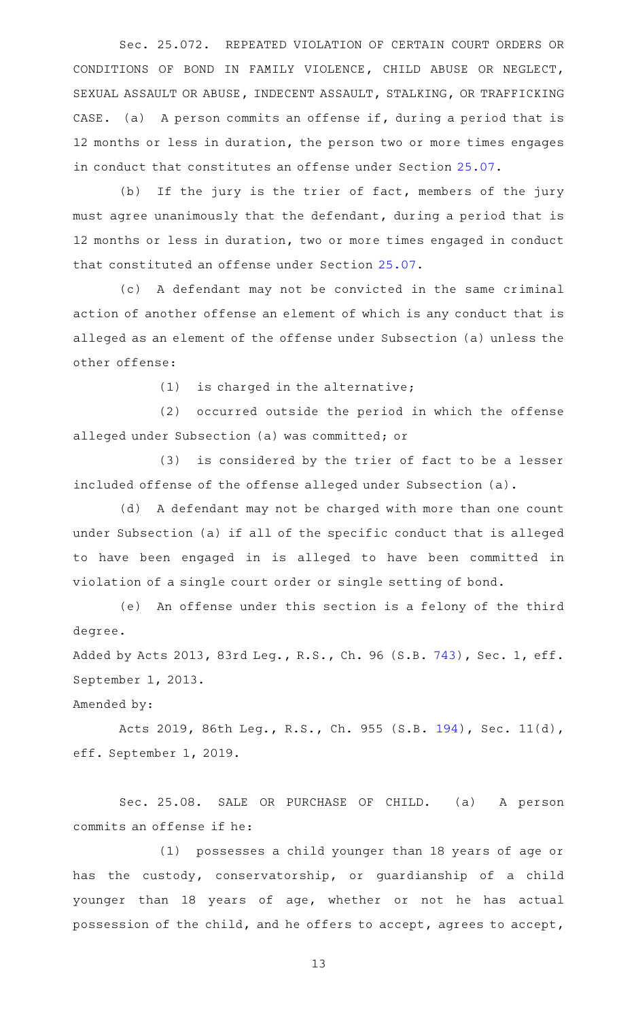Sec. 25.072. REPEATED VIOLATION OF CERTAIN COURT ORDERS OR CONDITIONS OF BOND IN FAMILY VIOLENCE, CHILD ABUSE OR NEGLECT, SEXUAL ASSAULT OR ABUSE, INDECENT ASSAULT, STALKING, OR TRAFFICKING CASE. (a) A person commits an offense if, during a period that is 12 months or less in duration, the person two or more times engages in conduct that constitutes an offense under Section [25.07.](http://www.statutes.legis.state.tx.us/GetStatute.aspx?Code=PE&Value=25.07)

(b) If the jury is the trier of fact, members of the jury must agree unanimously that the defendant, during a period that is 12 months or less in duration, two or more times engaged in conduct that constituted an offense under Section [25.07.](http://www.statutes.legis.state.tx.us/GetStatute.aspx?Code=PE&Value=25.07)

(c)AAA defendant may not be convicted in the same criminal action of another offense an element of which is any conduct that is alleged as an element of the offense under Subsection (a) unless the other offense:

 $(1)$  is charged in the alternative;

(2) occurred outside the period in which the offense alleged under Subsection (a) was committed; or

(3) is considered by the trier of fact to be a lesser included offense of the offense alleged under Subsection (a).

(d) A defendant may not be charged with more than one count under Subsection (a) if all of the specific conduct that is alleged to have been engaged in is alleged to have been committed in violation of a single court order or single setting of bond.

(e) An offense under this section is a felony of the third degree.

Added by Acts 2013, 83rd Leg., R.S., Ch. 96 (S.B. [743](http://www.legis.state.tx.us/tlodocs/83R/billtext/html/SB00743F.HTM)), Sec. 1, eff. September 1, 2013.

Amended by:

Acts 2019, 86th Leg., R.S., Ch. 955 (S.B. [194](http://www.legis.state.tx.us/tlodocs/86R/billtext/html/SB00194F.HTM)), Sec. 11(d), eff. September 1, 2019.

Sec. 25.08. SALE OR PURCHASE OF CHILD. (a) A person commits an offense if he:

(1) possesses a child younger than 18 years of age or has the custody, conservatorship, or guardianship of a child younger than 18 years of age, whether or not he has actual possession of the child, and he offers to accept, agrees to accept,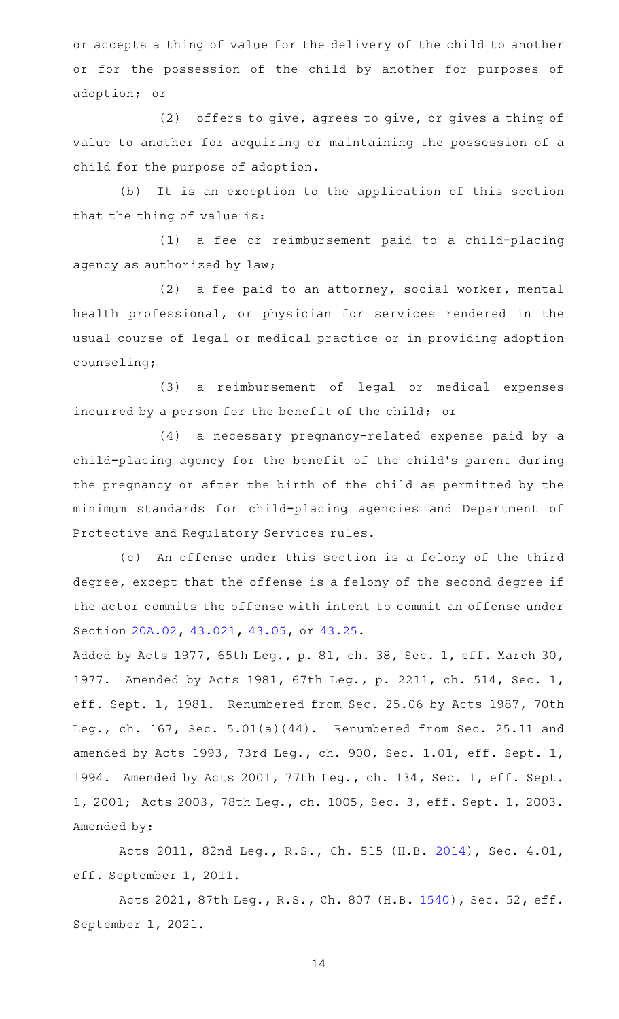or accepts a thing of value for the delivery of the child to another or for the possession of the child by another for purposes of adoption; or

 $(2)$  offers to give, agrees to give, or gives a thing of value to another for acquiring or maintaining the possession of a child for the purpose of adoption.

(b) It is an exception to the application of this section that the thing of value is:

(1) a fee or reimbursement paid to a child-placing agency as authorized by law;

(2) a fee paid to an attorney, social worker, mental health professional, or physician for services rendered in the usual course of legal or medical practice or in providing adoption counseling;

(3) a reimbursement of legal or medical expenses incurred by a person for the benefit of the child; or

(4) a necessary pregnancy-related expense paid by a child-placing agency for the benefit of the child's parent during the pregnancy or after the birth of the child as permitted by the minimum standards for child-placing agencies and Department of Protective and Regulatory Services rules.

(c) An offense under this section is a felony of the third degree, except that the offense is a felony of the second degree if the actor commits the offense with intent to commit an offense under Section [20A.02](http://www.statutes.legis.state.tx.us/GetStatute.aspx?Code=PE&Value=20A.02), [43.021](http://www.statutes.legis.state.tx.us/GetStatute.aspx?Code=PE&Value=43.021), [43.05](http://www.statutes.legis.state.tx.us/GetStatute.aspx?Code=PE&Value=43.05), or [43.25.](http://www.statutes.legis.state.tx.us/GetStatute.aspx?Code=PE&Value=43.25)

Added by Acts 1977, 65th Leg., p. 81, ch. 38, Sec. 1, eff. March 30, 1977. Amended by Acts 1981, 67th Leg., p. 2211, ch. 514, Sec. 1, eff. Sept. 1, 1981. Renumbered from Sec. 25.06 by Acts 1987, 70th Leg., ch. 167, Sec. 5.01(a)(44). Renumbered from Sec. 25.11 and amended by Acts 1993, 73rd Leg., ch. 900, Sec. 1.01, eff. Sept. 1, 1994. Amended by Acts 2001, 77th Leg., ch. 134, Sec. 1, eff. Sept. 1, 2001; Acts 2003, 78th Leg., ch. 1005, Sec. 3, eff. Sept. 1, 2003. Amended by:

Acts 2011, 82nd Leg., R.S., Ch. 515 (H.B. [2014\)](http://www.legis.state.tx.us/tlodocs/82R/billtext/html/HB02014F.HTM), Sec. 4.01, eff. September 1, 2011.

Acts 2021, 87th Leg., R.S., Ch. 807 (H.B. [1540\)](http://www.legis.state.tx.us/tlodocs/87R/billtext/html/HB01540F.HTM), Sec. 52, eff. September 1, 2021.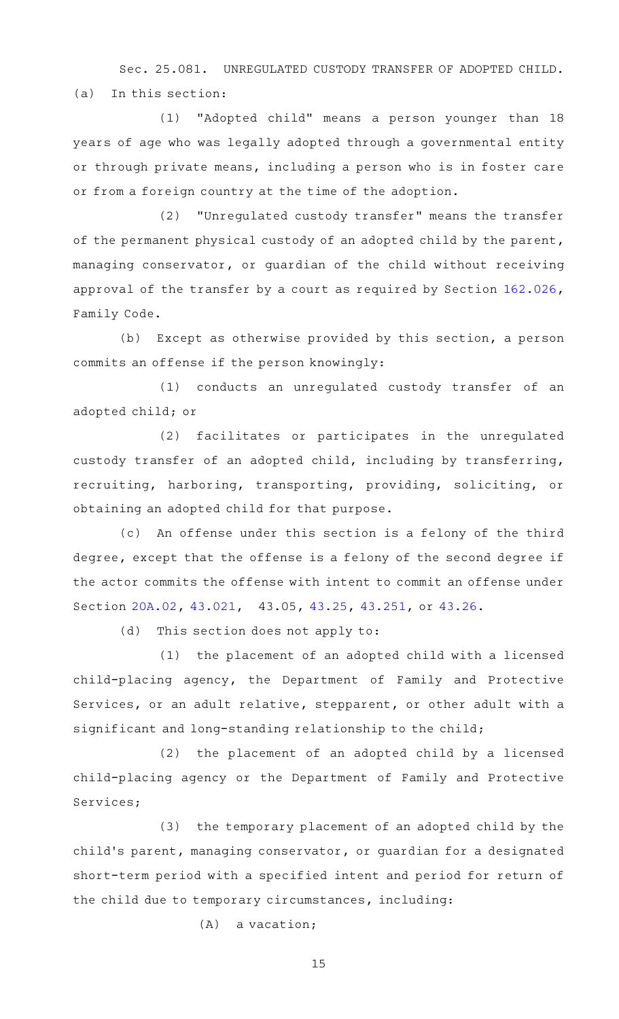Sec. 25.081. UNREGULATED CUSTODY TRANSFER OF ADOPTED CHILD. (a) In this section:

(1) "Adopted child" means a person younger than 18 years of age who was legally adopted through a governmental entity or through private means, including a person who is in foster care or from a foreign country at the time of the adoption.

(2) "Unregulated custody transfer" means the transfer of the permanent physical custody of an adopted child by the parent, managing conservator, or guardian of the child without receiving approval of the transfer by a court as required by Section [162.026](http://www.statutes.legis.state.tx.us/GetStatute.aspx?Code=FA&Value=162.026), Family Code.

(b) Except as otherwise provided by this section, a person commits an offense if the person knowingly:

(1) conducts an unregulated custody transfer of an adopted child; or

(2) facilitates or participates in the unregulated custody transfer of an adopted child, including by transferring, recruiting, harboring, transporting, providing, soliciting, or obtaining an adopted child for that purpose.

(c) An offense under this section is a felony of the third degree, except that the offense is a felony of the second degree if the actor commits the offense with intent to commit an offense under Section [20A.02](http://www.statutes.legis.state.tx.us/GetStatute.aspx?Code=PE&Value=20A.02), [43.021](http://www.statutes.legis.state.tx.us/GetStatute.aspx?Code=PE&Value=43.021), 43.05, [43.25,](http://www.statutes.legis.state.tx.us/GetStatute.aspx?Code=PE&Value=43.25) [43.251](http://www.statutes.legis.state.tx.us/GetStatute.aspx?Code=PE&Value=43.251), or [43.26.](http://www.statutes.legis.state.tx.us/GetStatute.aspx?Code=PE&Value=43.26)

 $(d)$  This section does not apply to:

(1) the placement of an adopted child with a licensed child-placing agency, the Department of Family and Protective Services, or an adult relative, stepparent, or other adult with a significant and long-standing relationship to the child;

(2) the placement of an adopted child by a licensed child-placing agency or the Department of Family and Protective Services;

(3) the temporary placement of an adopted child by the child 's parent, managing conservator, or guardian for a designated short-term period with a specified intent and period for return of the child due to temporary circumstances, including:

 $(A)$  a vacation;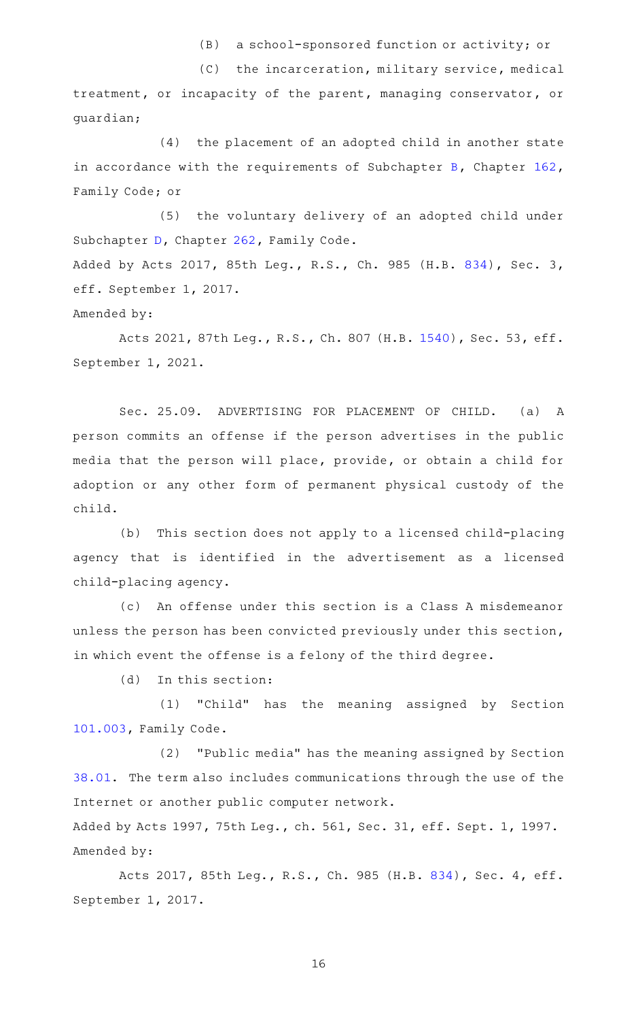(B) a school-sponsored function or activity; or

(C) the incarceration, military service, medical treatment, or incapacity of the parent, managing conservator, or guardian;

 $(4)$  the placement of an adopted child in another state in accordance with the requirements of Subchapter [B](http://www.statutes.legis.state.tx.us/GetStatute.aspx?Code=FA&Value=162.101), Chapter [162](http://www.statutes.legis.state.tx.us/GetStatute.aspx?Code=FA&Value=162), Family Code; or

(5) the voluntary delivery of an adopted child under Subchapter [D](http://www.statutes.legis.state.tx.us/GetStatute.aspx?Code=FA&Value=262.301), Chapter [262](http://www.statutes.legis.state.tx.us/GetStatute.aspx?Code=FA&Value=262), Family Code. Added by Acts 2017, 85th Leg., R.S., Ch. 985 (H.B. [834](http://www.legis.state.tx.us/tlodocs/85R/billtext/html/HB00834F.HTM)), Sec. 3, eff. September 1, 2017.

Amended by:

Acts 2021, 87th Leg., R.S., Ch. 807 (H.B. [1540\)](http://www.legis.state.tx.us/tlodocs/87R/billtext/html/HB01540F.HTM), Sec. 53, eff. September 1, 2021.

Sec. 25.09. ADVERTISING FOR PLACEMENT OF CHILD. (a) A person commits an offense if the person advertises in the public media that the person will place, provide, or obtain a child for adoption or any other form of permanent physical custody of the child.

(b) This section does not apply to a licensed child-placing agency that is identified in the advertisement as a licensed child-placing agency.

(c) An offense under this section is a Class A misdemeanor unless the person has been convicted previously under this section, in which event the offense is a felony of the third degree.

 $(d)$  In this section:

(1) "Child" has the meaning assigned by Section [101.003,](http://www.statutes.legis.state.tx.us/GetStatute.aspx?Code=FA&Value=101.003) Family Code.

(2) "Public media" has the meaning assigned by Section [38.01.](http://www.statutes.legis.state.tx.us/GetStatute.aspx?Code=PE&Value=38.01) The term also includes communications through the use of the Internet or another public computer network.

Added by Acts 1997, 75th Leg., ch. 561, Sec. 31, eff. Sept. 1, 1997. Amended by:

Acts 2017, 85th Leg., R.S., Ch. 985 (H.B. [834](http://www.legis.state.tx.us/tlodocs/85R/billtext/html/HB00834F.HTM)), Sec. 4, eff. September 1, 2017.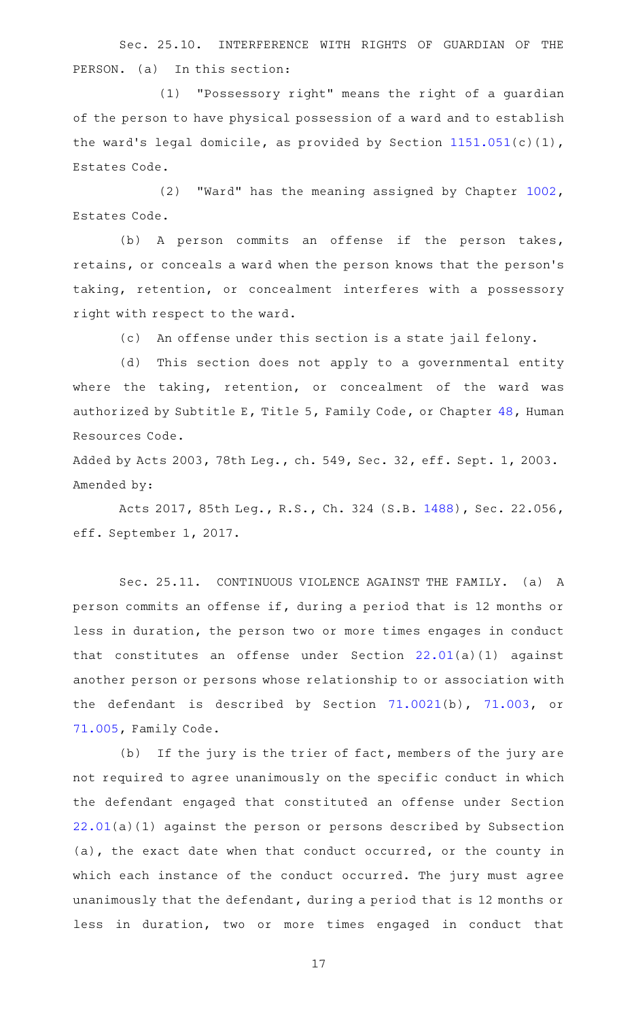Sec. 25.10. INTERFERENCE WITH RIGHTS OF GUARDIAN OF THE PERSON. (a) In this section:

(1) "Possessory right" means the right of a guardian of the person to have physical possession of a ward and to establish the ward's legal domicile, as provided by Section  $1151.051(c)(1)$  $1151.051(c)(1)$ , Estates Code.

(2) "Ward" has the meaning assigned by Chapter  $1002$ , Estates Code.

(b) A person commits an offense if the person takes, retains, or conceals a ward when the person knows that the person 's taking, retention, or concealment interferes with a possessory right with respect to the ward.

(c) An offense under this section is a state jail felony.

(d) This section does not apply to a governmental entity where the taking, retention, or concealment of the ward was authorized by Subtitle E, Title 5, Family Code, or Chapter [48,](http://www.statutes.legis.state.tx.us/GetStatute.aspx?Code=HR&Value=48) Human Resources Code.

Added by Acts 2003, 78th Leg., ch. 549, Sec. 32, eff. Sept. 1, 2003. Amended by:

Acts 2017, 85th Leg., R.S., Ch. 324 (S.B. [1488\)](http://www.legis.state.tx.us/tlodocs/85R/billtext/html/SB01488F.HTM), Sec. 22.056, eff. September 1, 2017.

Sec. 25.11. CONTINUOUS VIOLENCE AGAINST THE FAMILY. (a) A person commits an offense if, during a period that is 12 months or less in duration, the person two or more times engages in conduct that constitutes an offense under Section [22.01\(](http://www.statutes.legis.state.tx.us/GetStatute.aspx?Code=PE&Value=22.01)a)(1) against another person or persons whose relationship to or association with the defendant is described by Section [71.0021](http://www.statutes.legis.state.tx.us/GetStatute.aspx?Code=FA&Value=71.0021)(b), [71.003,](http://www.statutes.legis.state.tx.us/GetStatute.aspx?Code=FA&Value=71.003) or [71.005](http://www.statutes.legis.state.tx.us/GetStatute.aspx?Code=FA&Value=71.005), Family Code.

(b) If the jury is the trier of fact, members of the jury are not required to agree unanimously on the specific conduct in which the defendant engaged that constituted an offense under Section [22.01\(](http://www.statutes.legis.state.tx.us/GetStatute.aspx?Code=PE&Value=22.01)a)(1) against the person or persons described by Subsection (a), the exact date when that conduct occurred, or the county in which each instance of the conduct occurred. The jury must agree unanimously that the defendant, during a period that is 12 months or less in duration, two or more times engaged in conduct that